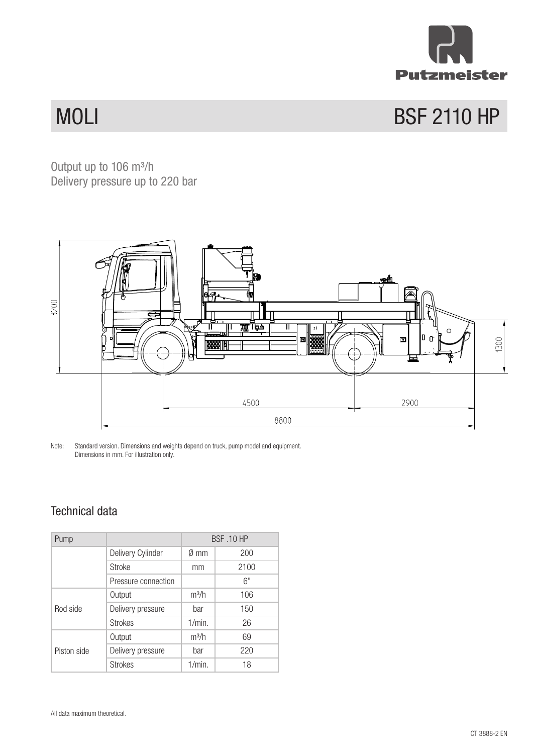

## **MOLI** BSF 2110 HP

**Output up to 106 m<sup>3</sup>** Output up to  $106 \text{ m}^3/\text{h}$ Delivery pressure up to 220 bar



Note: Standard version. Dimensions and weights depend on truck, pump model and equipment. Dimensions in mm. For illustration only.

## Technical data

| Pump        |                     | <b>BSF .10 HP</b> |      |
|-------------|---------------------|-------------------|------|
|             | Delivery Cylinder   | $\emptyset$ mm    | 200  |
|             | Stroke              | mm                | 2100 |
|             | Pressure connection |                   | 6"   |
| Rod side    | Output              | $m^3/h$           | 106  |
|             | Delivery pressure   | bar               | 150  |
|             | <b>Strokes</b>      | 1/min.            | 26   |
| Piston side | Output              | $m^3/h$           | 69   |
|             | Delivery pressure   | bar               | 220  |
|             | <b>Strokes</b>      | 1/min.            | 18   |